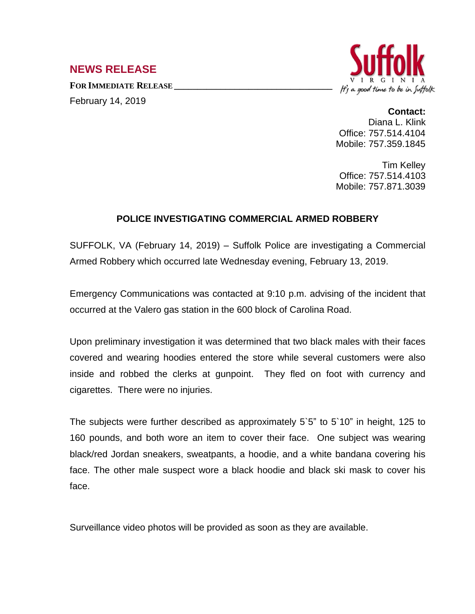## **NEWS RELEASE**

**FOR IMMEDIATE RELEASE \_\_\_\_\_\_\_\_\_\_\_\_\_\_\_\_\_\_\_\_\_\_\_\_\_\_\_\_\_\_\_\_\_\_** February 14, 2019



## **Contact:**

Diana L. Klink Office: 757.514.4104 Mobile: 757.359.1845

Tim Kelley Office: 757.514.4103 Mobile: 757.871.3039

## **POLICE INVESTIGATING COMMERCIAL ARMED ROBBERY**

SUFFOLK, VA (February 14, 2019) – Suffolk Police are investigating a Commercial Armed Robbery which occurred late Wednesday evening, February 13, 2019.

Emergency Communications was contacted at 9:10 p.m. advising of the incident that occurred at the Valero gas station in the 600 block of Carolina Road.

Upon preliminary investigation it was determined that two black males with their faces covered and wearing hoodies entered the store while several customers were also inside and robbed the clerks at gunpoint. They fled on foot with currency and cigarettes. There were no injuries.

The subjects were further described as approximately 5`5" to 5`10" in height, 125 to 160 pounds, and both wore an item to cover their face. One subject was wearing black/red Jordan sneakers, sweatpants, a hoodie, and a white bandana covering his face. The other male suspect wore a black hoodie and black ski mask to cover his face.

Surveillance video photos will be provided as soon as they are available.